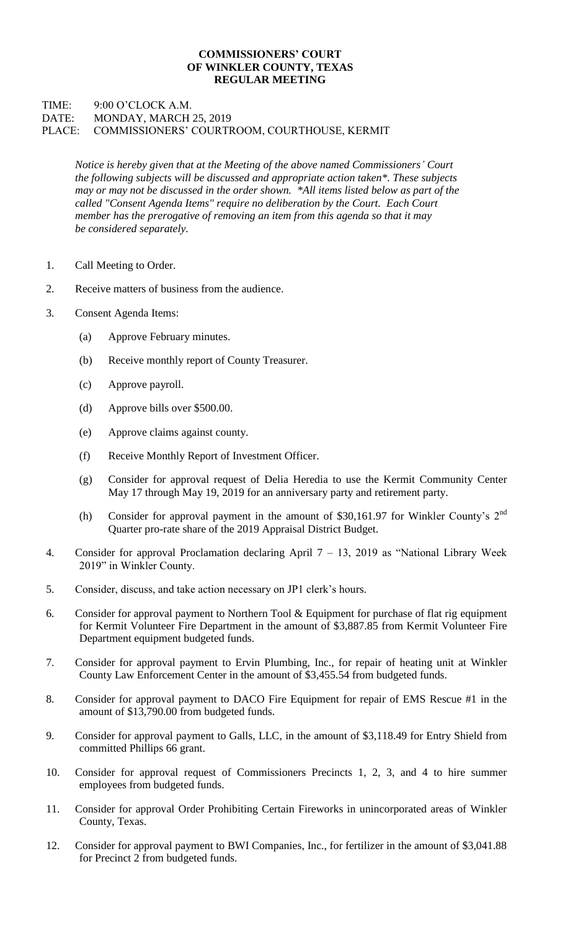## **COMMISSIONERS' COURT OF WINKLER COUNTY, TEXAS REGULAR MEETING**

## TIME: 9:00 O'CLOCK A.M. DATE: MONDAY, MARCH 25, 2019 PLACE: COMMISSIONERS' COURTROOM, COURTHOUSE, KERMIT

*Notice is hereby given that at the Meeting of the above named Commissioners' Court the following subjects will be discussed and appropriate action taken\*. These subjects may or may not be discussed in the order shown. \*All items listed below as part of the called "Consent Agenda Items" require no deliberation by the Court. Each Court member has the prerogative of removing an item from this agenda so that it may be considered separately.*

- 1. Call Meeting to Order.
- 2. Receive matters of business from the audience.
- 3. Consent Agenda Items:
	- (a) Approve February minutes.
	- (b) Receive monthly report of County Treasurer.
	- (c) Approve payroll.
	- (d) Approve bills over \$500.00.
	- (e) Approve claims against county.
	- (f) Receive Monthly Report of Investment Officer.
	- (g) Consider for approval request of Delia Heredia to use the Kermit Community Center May 17 through May 19, 2019 for an anniversary party and retirement party.
	- (h) Consider for approval payment in the amount of \$30,161.97 for Winkler County's 2nd Quarter pro-rate share of the 2019 Appraisal District Budget.
- 4. Consider for approval Proclamation declaring April 7 13, 2019 as "National Library Week 2019" in Winkler County.
- 5. Consider, discuss, and take action necessary on JP1 clerk's hours.
- 6. Consider for approval payment to Northern Tool & Equipment for purchase of flat rig equipment for Kermit Volunteer Fire Department in the amount of \$3,887.85 from Kermit Volunteer Fire Department equipment budgeted funds.
- 7. Consider for approval payment to Ervin Plumbing, Inc., for repair of heating unit at Winkler County Law Enforcement Center in the amount of \$3,455.54 from budgeted funds.
- 8. Consider for approval payment to DACO Fire Equipment for repair of EMS Rescue #1 in the amount of \$13,790.00 from budgeted funds.
- 9. Consider for approval payment to Galls, LLC, in the amount of \$3,118.49 for Entry Shield from committed Phillips 66 grant.
- 10. Consider for approval request of Commissioners Precincts 1, 2, 3, and 4 to hire summer employees from budgeted funds.
- 11. Consider for approval Order Prohibiting Certain Fireworks in unincorporated areas of Winkler County, Texas.
- 12. Consider for approval payment to BWI Companies, Inc., for fertilizer in the amount of \$3,041.88 for Precinct 2 from budgeted funds.